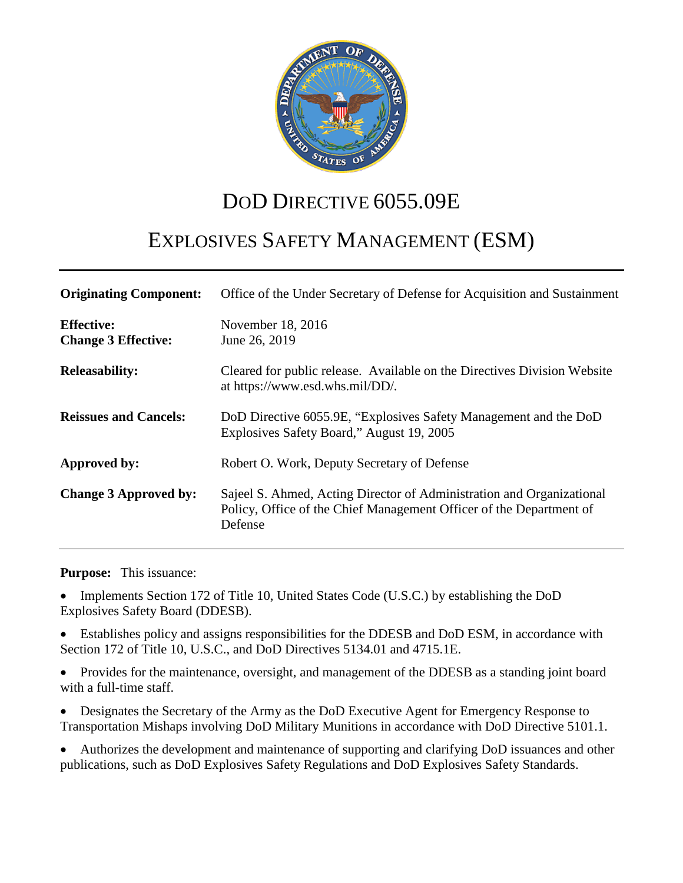

# DOD DIRECTIVE 6055.09E

# EXPLOSIVES SAFETY MANAGEMENT (ESM)

| <b>Originating Component:</b>                   | Office of the Under Secretary of Defense for Acquisition and Sustainment                                                                                |
|-------------------------------------------------|---------------------------------------------------------------------------------------------------------------------------------------------------------|
| <b>Effective:</b><br><b>Change 3 Effective:</b> | November 18, 2016<br>June 26, 2019                                                                                                                      |
| <b>Releasability:</b>                           | Cleared for public release. Available on the Directives Division Website<br>at https://www.esd.whs.mil/DD/.                                             |
| <b>Reissues and Cancels:</b>                    | DoD Directive 6055.9E, "Explosives Safety Management and the DoD<br>Explosives Safety Board," August 19, 2005                                           |
| Approved by:                                    | Robert O. Work, Deputy Secretary of Defense                                                                                                             |
| <b>Change 3 Approved by:</b>                    | Sajeel S. Ahmed, Acting Director of Administration and Organizational<br>Policy, Office of the Chief Management Officer of the Department of<br>Defense |

**Purpose:** This issuance:

• Implements Section 172 of Title 10, United States Code (U.S.C.) by establishing the DoD Explosives Safety Board (DDESB).

• Establishes policy and assigns responsibilities for the DDESB and DoD ESM, in accordance with Section 172 of Title 10, U.S.C., and DoD Directives 5134.01 and 4715.1E.

• Provides for the maintenance, oversight, and management of the DDESB as a standing joint board with a full-time staff.

• Designates the Secretary of the Army as the DoD Executive Agent for Emergency Response to Transportation Mishaps involving DoD Military Munitions in accordance with DoD Directive 5101.1.

• Authorizes the development and maintenance of supporting and clarifying DoD issuances and other publications, such as DoD Explosives Safety Regulations and DoD Explosives Safety Standards.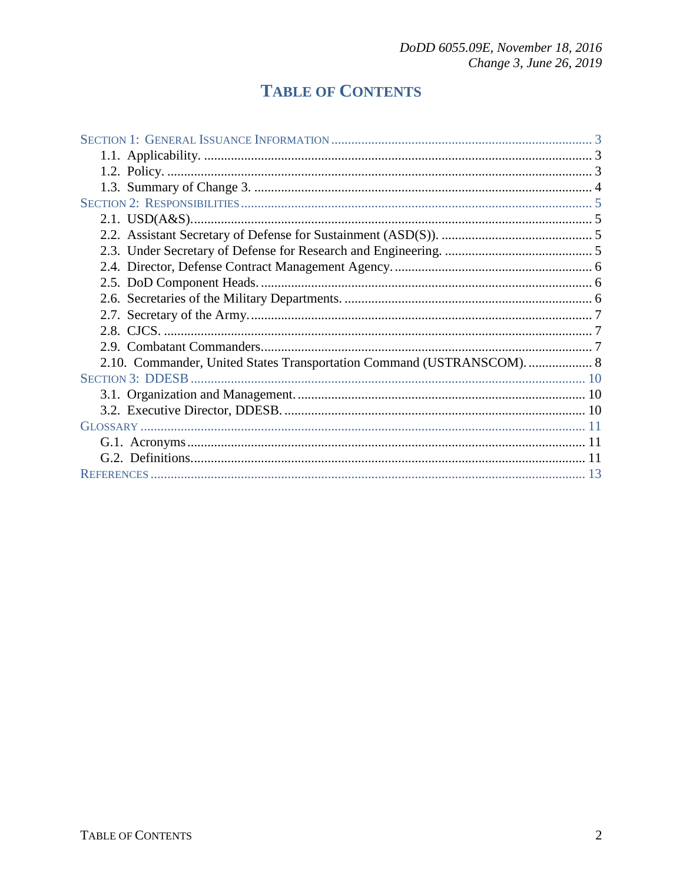## **TABLE OF CONTENTS**

| 2.10. Commander, United States Transportation Command (USTRANSCOM).  8 |  |
|------------------------------------------------------------------------|--|
|                                                                        |  |
|                                                                        |  |
|                                                                        |  |
|                                                                        |  |
|                                                                        |  |
|                                                                        |  |
|                                                                        |  |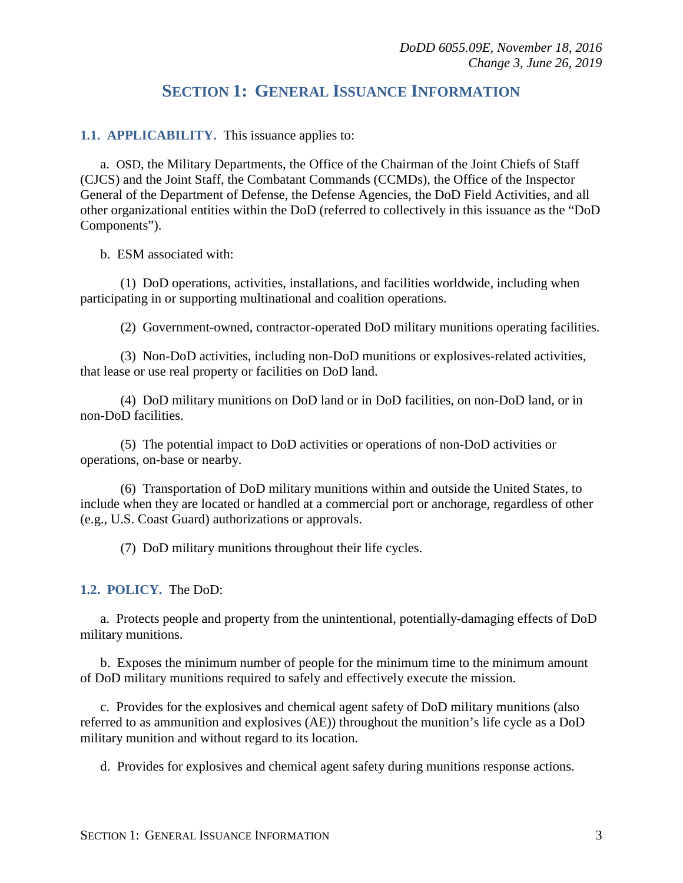## **SECTION 1: GENERAL ISSUANCE INFORMATION**

<span id="page-2-1"></span><span id="page-2-0"></span>**1.1. APPLICABILITY.** This issuance applies to:

a. OSD, the Military Departments, the Office of the Chairman of the Joint Chiefs of Staff (CJCS) and the Joint Staff, the Combatant Commands (CCMDs), the Office of the Inspector General of the Department of Defense, the Defense Agencies, the DoD Field Activities, and all other organizational entities within the DoD (referred to collectively in this issuance as the "DoD Components").

b. ESM associated with:

(1) DoD operations, activities, installations, and facilities worldwide, including when participating in or supporting multinational and coalition operations.

(2) Government-owned, contractor-operated DoD military munitions operating facilities.

(3) Non-DoD activities, including non-DoD munitions or explosives-related activities, that lease or use real property or facilities on DoD land.

(4) DoD military munitions on DoD land or in DoD facilities, on non-DoD land, or in non-DoD facilities.

(5) The potential impact to DoD activities or operations of non-DoD activities or operations, on-base or nearby.

(6) Transportation of DoD military munitions within and outside the United States, to include when they are located or handled at a commercial port or anchorage, regardless of other (e.g., U.S. Coast Guard) authorizations or approvals.

(7) DoD military munitions throughout their life cycles.

#### <span id="page-2-2"></span>**1.2. POLICY.** The DoD:

a. Protects people and property from the unintentional, potentially-damaging effects of DoD military munitions.

b. Exposes the minimum number of people for the minimum time to the minimum amount of DoD military munitions required to safely and effectively execute the mission.

c. Provides for the explosives and chemical agent safety of DoD military munitions (also referred to as ammunition and explosives (AE)) throughout the munition's life cycle as a DoD military munition and without regard to its location.

d. Provides for explosives and chemical agent safety during munitions response actions.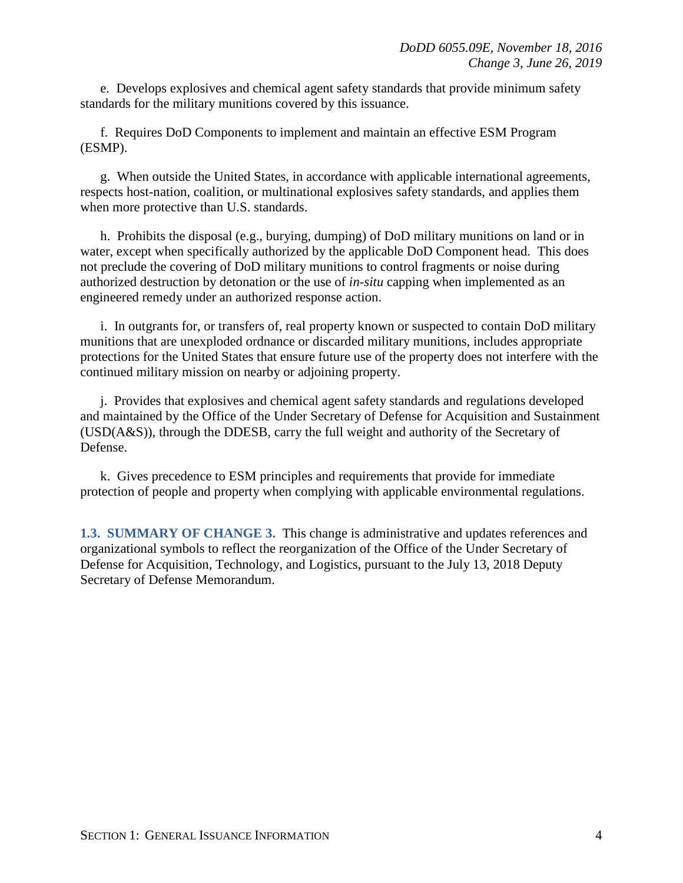e. Develops explosives and chemical agent safety standards that provide minimum safety standards for the military munitions covered by this issuance.

f. Requires DoD Components to implement and maintain an effective ESM Program (ESMP).

g. When outside the United States, in accordance with applicable international agreements, respects host-nation, coalition, or multinational explosives safety standards, and applies them when more protective than U.S. standards.

h. Prohibits the disposal (e.g., burying, dumping) of DoD military munitions on land or in water, except when specifically authorized by the applicable DoD Component head. This does not preclude the covering of DoD military munitions to control fragments or noise during authorized destruction by detonation or the use of *in-situ* capping when implemented as an engineered remedy under an authorized response action.

i. In outgrants for, or transfers of, real property known or suspected to contain DoD military munitions that are unexploded ordnance or discarded military munitions, includes appropriate protections for the United States that ensure future use of the property does not interfere with the continued military mission on nearby or adjoining property.

j. Provides that explosives and chemical agent safety standards and regulations developed and maintained by the Office of the Under Secretary of Defense for Acquisition and Sustainment (USD(A&S)), through the DDESB, carry the full weight and authority of the Secretary of Defense.

k. Gives precedence to ESM principles and requirements that provide for immediate protection of people and property when complying with applicable environmental regulations.

<span id="page-3-0"></span>**1.3. SUMMARY OF CHANGE 3.** This change is administrative and updates references and organizational symbols to reflect the reorganization of the Office of the Under Secretary of Defense for Acquisition, Technology, and Logistics, pursuant to the July 13, 2018 Deputy Secretary of Defense Memorandum.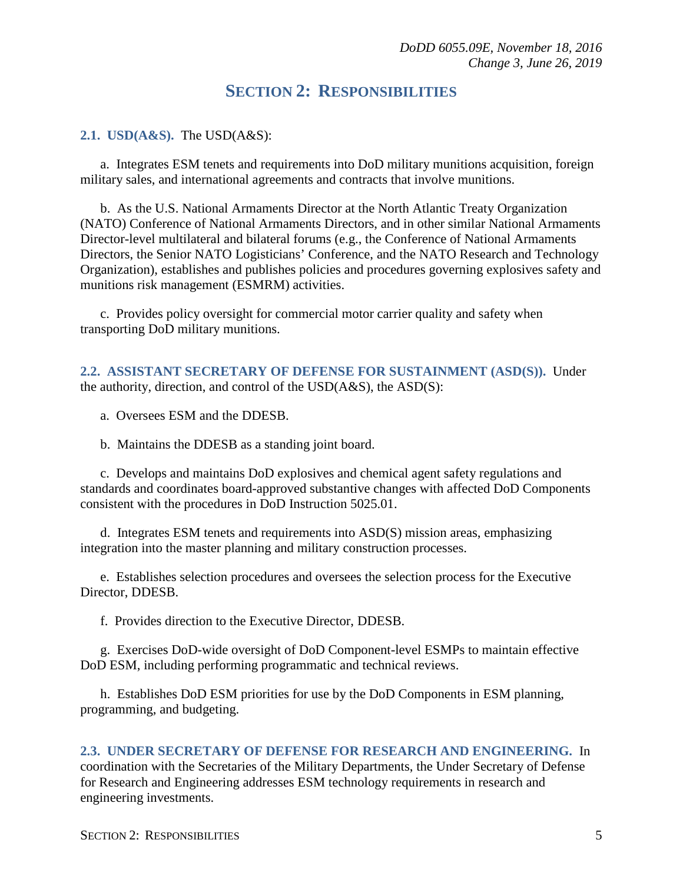## **SECTION 2: RESPONSIBILITIES**

#### <span id="page-4-1"></span><span id="page-4-0"></span>**2.1. USD(A&S).** The USD(A&S):

a. Integrates ESM tenets and requirements into DoD military munitions acquisition, foreign military sales, and international agreements and contracts that involve munitions.

b. As the U.S. National Armaments Director at the North Atlantic Treaty Organization (NATO) Conference of National Armaments Directors, and in other similar National Armaments Director-level multilateral and bilateral forums (e.g., the Conference of National Armaments Directors, the Senior NATO Logisticians' Conference, and the NATO Research and Technology Organization), establishes and publishes policies and procedures governing explosives safety and munitions risk management (ESMRM) activities.

c. Provides policy oversight for commercial motor carrier quality and safety when transporting DoD military munitions.

<span id="page-4-2"></span>**2.2. ASSISTANT SECRETARY OF DEFENSE FOR SUSTAINMENT (ASD(S)).** Under the authority, direction, and control of the USD(A&S), the ASD(S):

a. Oversees ESM and the DDESB.

b. Maintains the DDESB as a standing joint board.

c. Develops and maintains DoD explosives and chemical agent safety regulations and standards and coordinates board-approved substantive changes with affected DoD Components consistent with the procedures in DoD Instruction 5025.01.

d. Integrates ESM tenets and requirements into ASD(S) mission areas, emphasizing integration into the master planning and military construction processes.

e. Establishes selection procedures and oversees the selection process for the Executive Director, DDESB.

f. Provides direction to the Executive Director, DDESB.

g. Exercises DoD-wide oversight of DoD Component-level ESMPs to maintain effective DoD ESM, including performing programmatic and technical reviews.

h. Establishes DoD ESM priorities for use by the DoD Components in ESM planning, programming, and budgeting.

#### <span id="page-4-3"></span>**2.3. UNDER SECRETARY OF DEFENSE FOR RESEARCH AND ENGINEERING.** In

coordination with the Secretaries of the Military Departments, the Under Secretary of Defense for Research and Engineering addresses ESM technology requirements in research and engineering investments.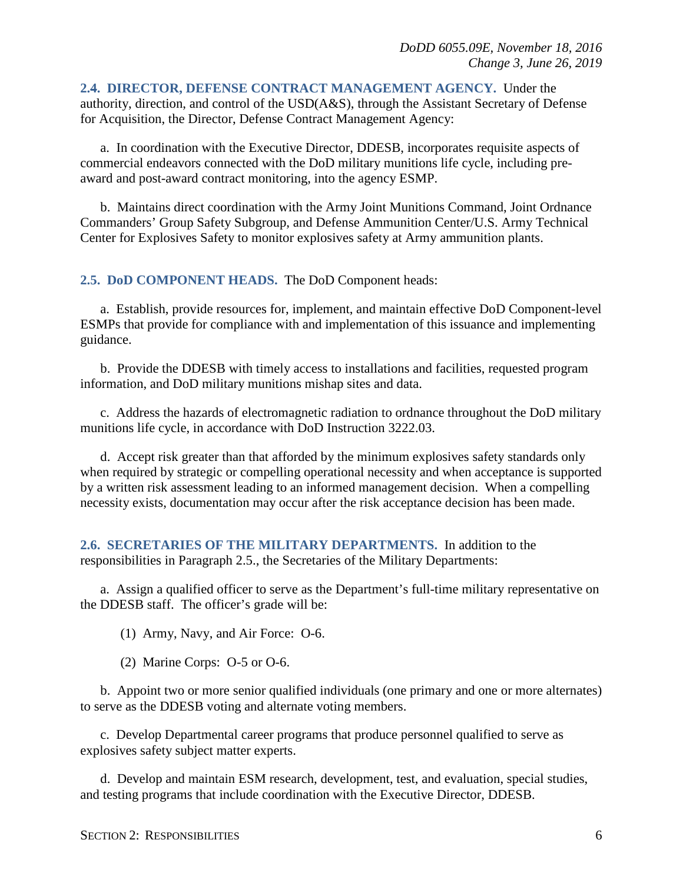<span id="page-5-0"></span>**2.4. DIRECTOR, DEFENSE CONTRACT MANAGEMENT AGENCY.** Under the authority, direction, and control of the USD(A&S), through the Assistant Secretary of Defense for Acquisition, the Director, Defense Contract Management Agency:

a. In coordination with the Executive Director, DDESB, incorporates requisite aspects of commercial endeavors connected with the DoD military munitions life cycle, including preaward and post-award contract monitoring, into the agency ESMP.

b. Maintains direct coordination with the Army Joint Munitions Command, Joint Ordnance Commanders' Group Safety Subgroup, and Defense Ammunition Center/U.S. Army Technical Center for Explosives Safety to monitor explosives safety at Army ammunition plants.

#### <span id="page-5-1"></span>**2.5. DoD COMPONENT HEADS.** The DoD Component heads:

a. Establish, provide resources for, implement, and maintain effective DoD Component-level ESMPs that provide for compliance with and implementation of this issuance and implementing guidance.

b. Provide the DDESB with timely access to installations and facilities, requested program information, and DoD military munitions mishap sites and data.

c. Address the hazards of electromagnetic radiation to ordnance throughout the DoD military munitions life cycle, in accordance with DoD Instruction 3222.03.

d. Accept risk greater than that afforded by the minimum explosives safety standards only when required by strategic or compelling operational necessity and when acceptance is supported by a written risk assessment leading to an informed management decision. When a compelling necessity exists, documentation may occur after the risk acceptance decision has been made.

<span id="page-5-2"></span>**2.6. SECRETARIES OF THE MILITARY DEPARTMENTS.** In addition to the responsibilities in Paragraph 2.5., the Secretaries of the Military Departments:

a. Assign a qualified officer to serve as the Department's full-time military representative on the DDESB staff. The officer's grade will be:

(1) Army, Navy, and Air Force: O-6.

(2) Marine Corps: O-5 or O-6.

b. Appoint two or more senior qualified individuals (one primary and one or more alternates) to serve as the DDESB voting and alternate voting members.

c. Develop Departmental career programs that produce personnel qualified to serve as explosives safety subject matter experts.

d. Develop and maintain ESM research, development, test, and evaluation, special studies, and testing programs that include coordination with the Executive Director, DDESB.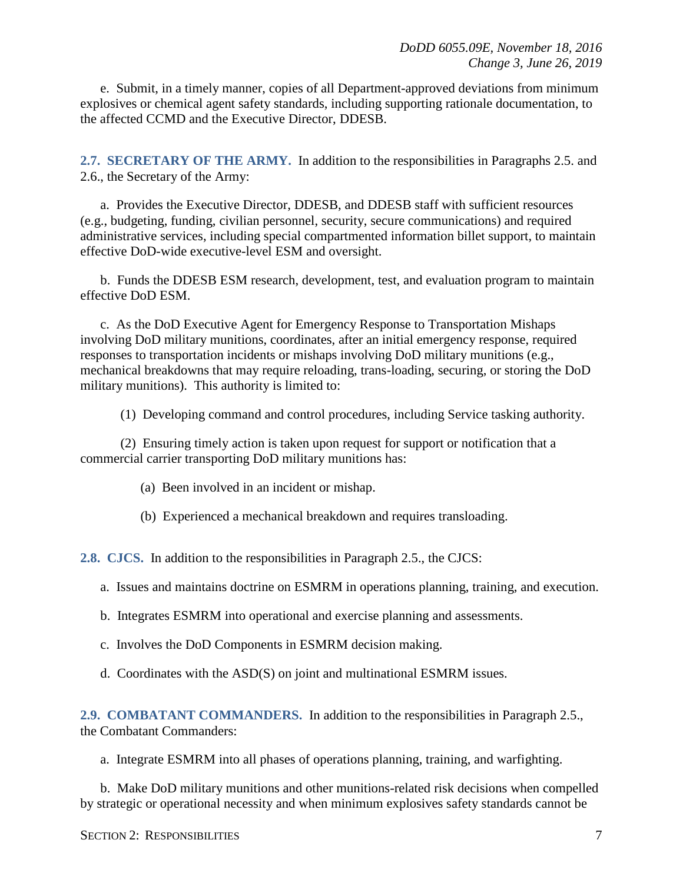e. Submit, in a timely manner, copies of all Department-approved deviations from minimum explosives or chemical agent safety standards, including supporting rationale documentation, to the affected CCMD and the Executive Director, DDESB.

<span id="page-6-0"></span>**2.7. SECRETARY OF THE ARMY.** In addition to the responsibilities in Paragraphs 2.5. and 2.6., the Secretary of the Army:

a. Provides the Executive Director, DDESB, and DDESB staff with sufficient resources (e.g., budgeting, funding, civilian personnel, security, secure communications) and required administrative services, including special compartmented information billet support, to maintain effective DoD-wide executive-level ESM and oversight.

b. Funds the DDESB ESM research, development, test, and evaluation program to maintain effective DoD ESM.

c. As the DoD Executive Agent for Emergency Response to Transportation Mishaps involving DoD military munitions, coordinates, after an initial emergency response, required responses to transportation incidents or mishaps involving DoD military munitions (e.g., mechanical breakdowns that may require reloading, trans-loading, securing, or storing the DoD military munitions). This authority is limited to:

(1) Developing command and control procedures, including Service tasking authority.

(2) Ensuring timely action is taken upon request for support or notification that a commercial carrier transporting DoD military munitions has:

- (a) Been involved in an incident or mishap.
- (b) Experienced a mechanical breakdown and requires transloading.

<span id="page-6-1"></span>**2.8. CJCS.** In addition to the responsibilities in Paragraph 2.5., the CJCS:

- a. Issues and maintains doctrine on ESMRM in operations planning, training, and execution.
- b. Integrates ESMRM into operational and exercise planning and assessments.
- c. Involves the DoD Components in ESMRM decision making.
- d. Coordinates with the ASD(S) on joint and multinational ESMRM issues.

<span id="page-6-2"></span>**2.9. COMBATANT COMMANDERS.** In addition to the responsibilities in Paragraph 2.5., the Combatant Commanders:

a. Integrate ESMRM into all phases of operations planning, training, and warfighting.

b. Make DoD military munitions and other munitions-related risk decisions when compelled by strategic or operational necessity and when minimum explosives safety standards cannot be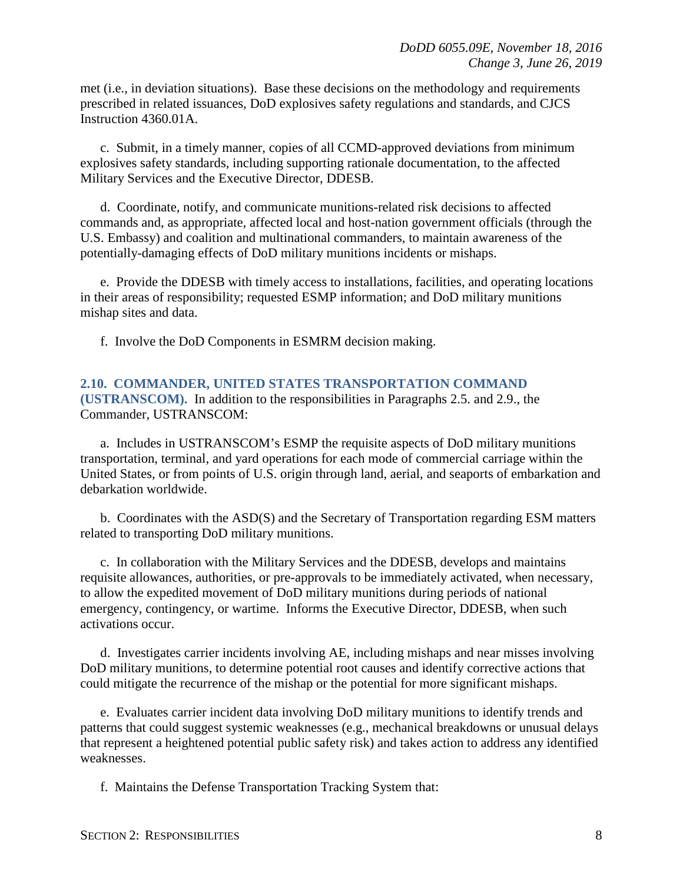met (i.e., in deviation situations). Base these decisions on the methodology and requirements prescribed in related issuances, DoD explosives safety regulations and standards, and CJCS Instruction 4360.01A.

c. Submit, in a timely manner, copies of all CCMD-approved deviations from minimum explosives safety standards, including supporting rationale documentation, to the affected Military Services and the Executive Director, DDESB.

d. Coordinate, notify, and communicate munitions-related risk decisions to affected commands and, as appropriate, affected local and host-nation government officials (through the U.S. Embassy) and coalition and multinational commanders, to maintain awareness of the potentially-damaging effects of DoD military munitions incidents or mishaps.

e. Provide the DDESB with timely access to installations, facilities, and operating locations in their areas of responsibility; requested ESMP information; and DoD military munitions mishap sites and data.

f. Involve the DoD Components in ESMRM decision making.

#### <span id="page-7-0"></span>**2.10. COMMANDER, UNITED STATES TRANSPORTATION COMMAND (USTRANSCOM).** In addition to the responsibilities in Paragraphs 2.5. and 2.9., the Commander, USTRANSCOM:

a. Includes in USTRANSCOM's ESMP the requisite aspects of DoD military munitions transportation, terminal, and yard operations for each mode of commercial carriage within the United States, or from points of U.S. origin through land, aerial, and seaports of embarkation and debarkation worldwide.

b. Coordinates with the ASD(S) and the Secretary of Transportation regarding ESM matters related to transporting DoD military munitions.

c. In collaboration with the Military Services and the DDESB, develops and maintains requisite allowances, authorities, or pre-approvals to be immediately activated, when necessary, to allow the expedited movement of DoD military munitions during periods of national emergency, contingency, or wartime. Informs the Executive Director, DDESB, when such activations occur.

d. Investigates carrier incidents involving AE, including mishaps and near misses involving DoD military munitions, to determine potential root causes and identify corrective actions that could mitigate the recurrence of the mishap or the potential for more significant mishaps.

e. Evaluates carrier incident data involving DoD military munitions to identify trends and patterns that could suggest systemic weaknesses (e.g., mechanical breakdowns or unusual delays that represent a heightened potential public safety risk) and takes action to address any identified weaknesses.

f. Maintains the Defense Transportation Tracking System that: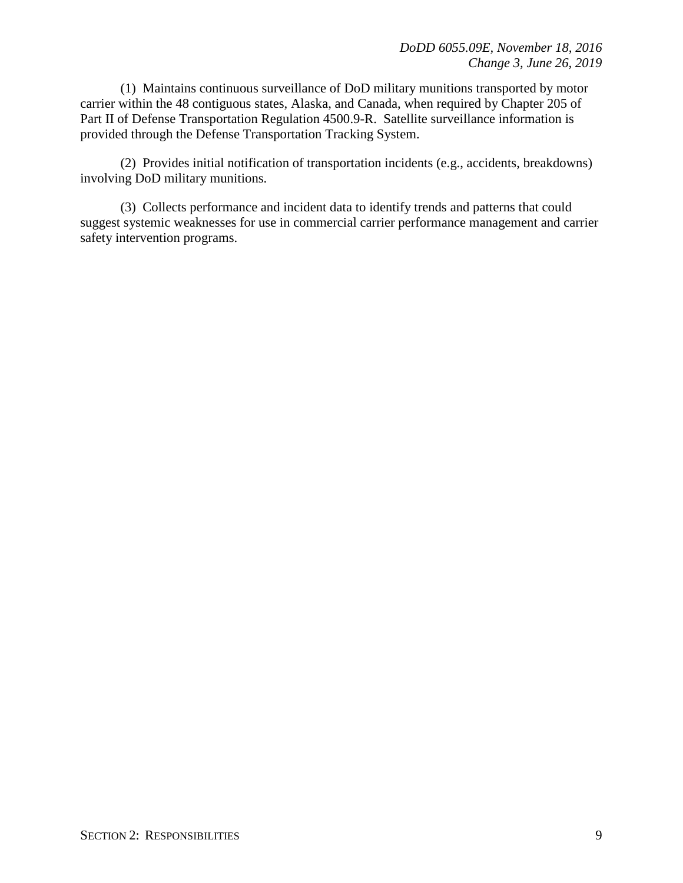(1) Maintains continuous surveillance of DoD military munitions transported by motor carrier within the 48 contiguous states, Alaska, and Canada, when required by Chapter 205 of Part II of Defense Transportation Regulation 4500.9-R. Satellite surveillance information is provided through the Defense Transportation Tracking System.

(2) Provides initial notification of transportation incidents (e.g., accidents, breakdowns) involving DoD military munitions.

(3) Collects performance and incident data to identify trends and patterns that could suggest systemic weaknesses for use in commercial carrier performance management and carrier safety intervention programs.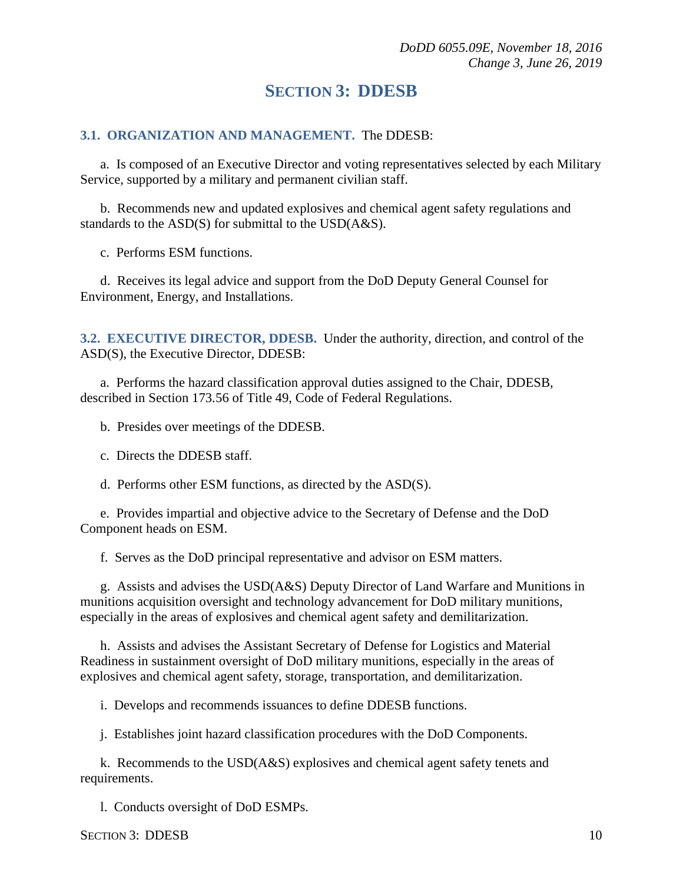## **SECTION 3: DDESB**

#### <span id="page-9-1"></span><span id="page-9-0"></span>**3.1. ORGANIZATION AND MANAGEMENT.** The DDESB:

a. Is composed of an Executive Director and voting representatives selected by each Military Service, supported by a military and permanent civilian staff.

b. Recommends new and updated explosives and chemical agent safety regulations and standards to the ASD(S) for submittal to the USD(A&S).

c. Performs ESM functions.

d. Receives its legal advice and support from the DoD Deputy General Counsel for Environment, Energy, and Installations.

<span id="page-9-2"></span>**3.2. EXECUTIVE DIRECTOR, DDESB.** Under the authority, direction, and control of the ASD(S), the Executive Director, DDESB:

a. Performs the hazard classification approval duties assigned to the Chair, DDESB, described in Section 173.56 of Title 49, Code of Federal Regulations.

b. Presides over meetings of the DDESB.

c. Directs the DDESB staff.

d. Performs other ESM functions, as directed by the ASD(S).

e. Provides impartial and objective advice to the Secretary of Defense and the DoD Component heads on ESM.

f. Serves as the DoD principal representative and advisor on ESM matters.

g. Assists and advises the USD(A&S) Deputy Director of Land Warfare and Munitions in munitions acquisition oversight and technology advancement for DoD military munitions, especially in the areas of explosives and chemical agent safety and demilitarization.

h. Assists and advises the Assistant Secretary of Defense for Logistics and Material Readiness in sustainment oversight of DoD military munitions, especially in the areas of explosives and chemical agent safety, storage, transportation, and demilitarization.

i. Develops and recommends issuances to define DDESB functions.

j. Establishes joint hazard classification procedures with the DoD Components.

k. Recommends to the USD(A&S) explosives and chemical agent safety tenets and requirements.

l. Conducts oversight of DoD ESMPs.

SECTION 3: DDESB 10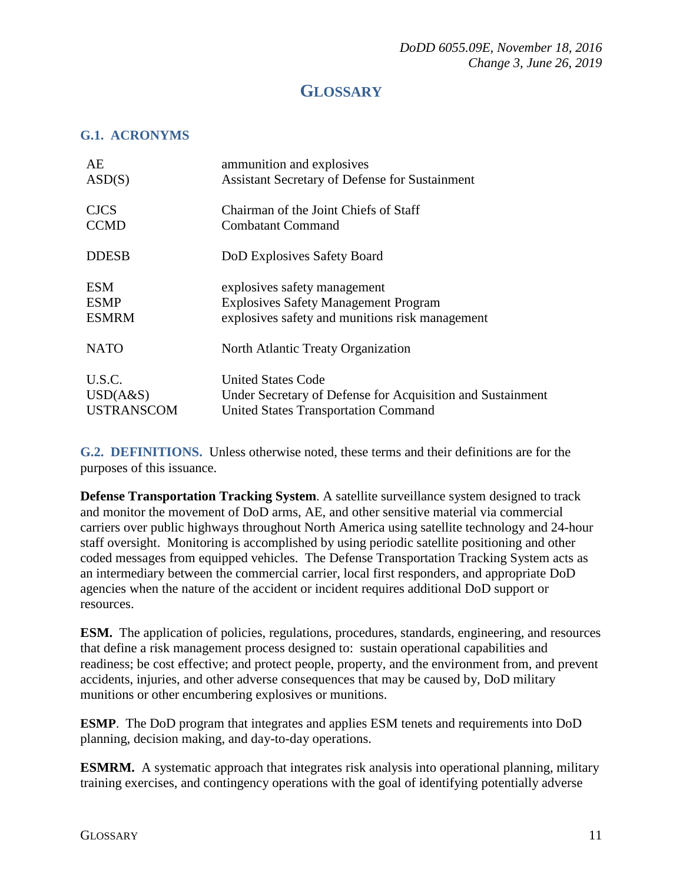## **GLOSSARY**

#### <span id="page-10-1"></span><span id="page-10-0"></span>**G.1. ACRONYMS**

| AE                | ammunition and explosives                                  |
|-------------------|------------------------------------------------------------|
| ASD(S)            | <b>Assistant Secretary of Defense for Sustainment</b>      |
| <b>CJCS</b>       | Chairman of the Joint Chiefs of Staff                      |
| <b>CCMD</b>       | Combatant Command                                          |
| <b>DDESB</b>      | DoD Explosives Safety Board                                |
| <b>ESM</b>        | explosives safety management                               |
| <b>ESMP</b>       | <b>Explosives Safety Management Program</b>                |
| <b>ESMRM</b>      | explosives safety and munitions risk management            |
| <b>NATO</b>       | North Atlantic Treaty Organization                         |
| U.S.C.            | <b>United States Code</b>                                  |
| USD(A&S)          | Under Secretary of Defense for Acquisition and Sustainment |
| <b>USTRANSCOM</b> | <b>United States Transportation Command</b>                |

<span id="page-10-2"></span>**G.2. DEFINITIONS.** Unless otherwise noted, these terms and their definitions are for the purposes of this issuance.

**Defense Transportation Tracking System**. A satellite surveillance system designed to track and monitor the movement of DoD arms, AE, and other sensitive material via commercial carriers over public highways throughout North America using satellite technology and 24-hour staff oversight. Monitoring is accomplished by using periodic satellite positioning and other coded messages from equipped vehicles. The Defense Transportation Tracking System acts as an intermediary between the commercial carrier, local first responders, and appropriate DoD agencies when the nature of the accident or incident requires additional DoD support or resources.

**ESM.** The application of policies, regulations, procedures, standards, engineering, and resources that define a risk management process designed to: sustain operational capabilities and readiness; be cost effective; and protect people, property, and the environment from, and prevent accidents, injuries, and other adverse consequences that may be caused by, DoD military munitions or other encumbering explosives or munitions.

**ESMP**. The DoD program that integrates and applies ESM tenets and requirements into DoD planning, decision making, and day-to-day operations.

**ESMRM.** A systematic approach that integrates risk analysis into operational planning, military training exercises, and contingency operations with the goal of identifying potentially adverse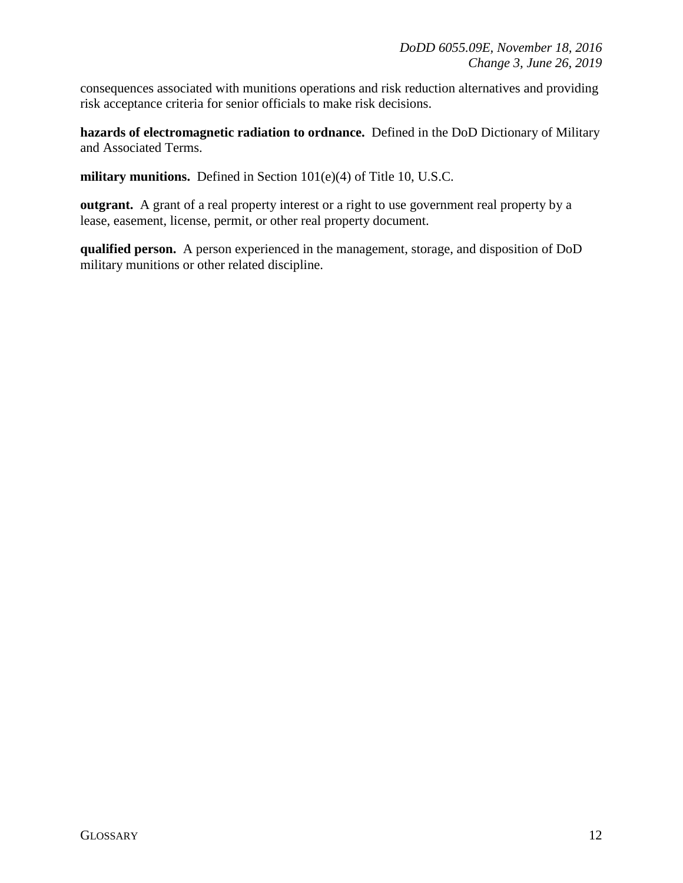consequences associated with munitions operations and risk reduction alternatives and providing risk acceptance criteria for senior officials to make risk decisions.

**hazards of electromagnetic radiation to ordnance.** Defined in the DoD Dictionary of Military and Associated Terms.

**military munitions.** Defined in Section 101(e)(4) of Title 10, U.S.C.

**outgrant.** A grant of a real property interest or a right to use government real property by a lease, easement, license, permit, or other real property document.

**qualified person.** A person experienced in the management, storage, and disposition of DoD military munitions or other related discipline.